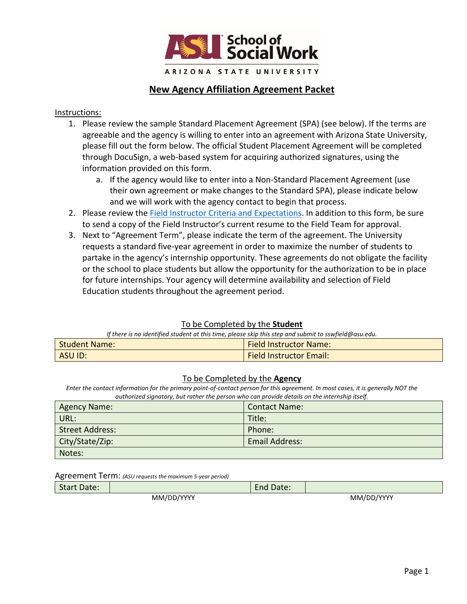

# **New Agency Affiliation Agreement Packet**

## Instructions:

- 1. Please review the sample Standard Placement Agreement (SPA) (see below). If the terms are agreeable and the agency is willing to enter into an agreement with Arizona State University, please fill out the form below. The official Student Placement Agreement will be completed through DocuSign, a web-based system for acquiring authorized signatures, using the information provided on this form.
	- a. If the agency would like to enter into a Non-Standard Placement Agreement (use their own agreement or make changes to the Standard SPA), please indicate below and we will work with the agency contact to begin that process.
- 2. Please review the [Field Instructor Criteria and Expectations.](https://socialwork.asu.edu/content/field-instructors-0) In addition to this form, be sure to send a copy of the Field Instructor's current resume to the Field Team for approval.
- 3. Next to "Agreement Term", please indicate the term of the agreement. The University requests a standard five-year agreement in order to maximize the number of students to partake in the agency's internship opportunity. These agreements do not obligate the facility or the school to place students but allow the opportunity for the authorization to be in place for future internships. Your agency will determine availability and selection of Field Education students throughout the agreement period.

## To be Completed by the **Student**

*If there is no identified student at this time, please skip this step and submit t[o sswfield@asu.edu.](mailto:sswfield@asu.edu)* 

| <b>Student Name:</b> | <b>Field Instructor Name:</b>  |
|----------------------|--------------------------------|
| ASU ID:              | <b>Field Instructor Email:</b> |

#### To be Completed by the **Agency**

*Enter the contact information for the primary point-of-contact person for this agreement. In most cases, it is generally NOT the authorized signatory, but rather the person who can provide details on the internship itself.*

| <b>Agency Name:</b> | <b>Contact Name:</b>  |
|---------------------|-----------------------|
| URL:                | Title:                |
| Street Address:     | Phone:                |
| City/State/Zip:     | <b>Email Address:</b> |
| Notes:              |                       |

Agreement Term: *(ASU requests the maximum 5-year period)*

| <b>Start Date:</b> |            | End Date: |            |
|--------------------|------------|-----------|------------|
|                    | MM/DD/YYYY |           | MM/DD/YYYY |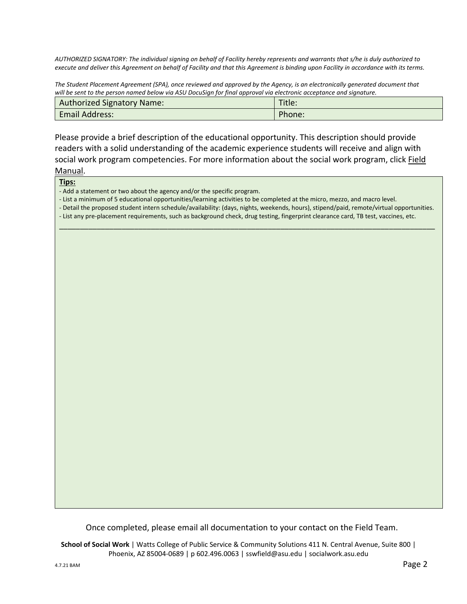*AUTHORIZED SIGNATORY: The individual signing on behalf of Facility hereby represents and warrants that s/he is duly authorized to execute and deliver this Agreement on behalf of Facility and that this Agreement is binding upon Facility in accordance with its terms.*

*The Student Placement Agreement (SPA), once reviewed and approved by the Agency, is an electronically generated document that will be sent to the person named below via ASU DocuSign for final approval via electronic acceptance and signature.*

| <b>Authorized Signatory Name:</b> | Title: |
|-----------------------------------|--------|
| <b>Email Address:</b>             | Phone: |

Please provide a brief description of the educational opportunity. This description should provide readers with a solid understanding of the academic experience students will receive and align with social work program competencies. For more information about the social work program, click Field [Manual.](https://socialwork.asu.edu/content/field-education-documents)

**Tips:**

- Add a statement or two about the agency and/or the specific program.

- List a minimum of 5 educational opportunities/learning activities to be completed at the micro, mezzo, and macro level.

- Detail the proposed student intern schedule/availability: (days, nights, weekends, hours), stipend/paid, remote/virtual opportunities.

\_\_\_\_\_\_\_\_\_\_\_\_\_\_\_\_\_\_\_\_\_\_\_\_\_\_\_\_\_\_\_\_\_\_\_\_\_\_\_\_\_\_\_\_\_\_\_\_\_\_\_\_\_\_\_\_\_\_\_\_\_\_\_\_\_\_\_\_\_\_\_\_\_\_\_\_\_\_\_\_\_\_\_\_\_\_\_\_\_\_

- List any pre-placement requirements, such as background check, drug testing, fingerprint clearance card, TB test, vaccines, etc.

Once completed, please email all documentation to your contact on the Field Team.

**School of Social Work** | Watts College of Public Service & Community Solutions 411 N. Central Avenue, Suite 800 | Phoenix, AZ 85004-0689 | p 602.496.0063 | sswfield@asu.edu | socialwork.asu.edu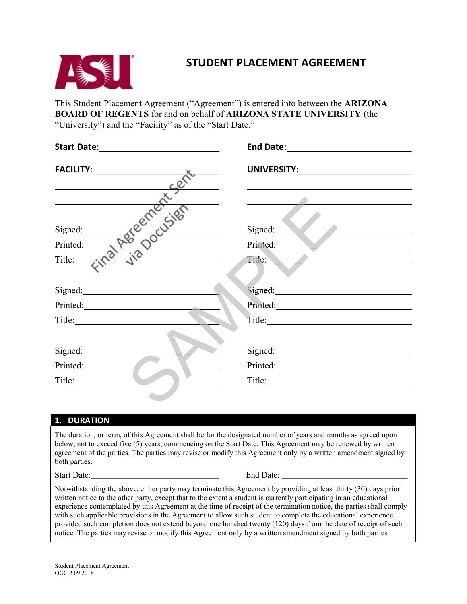

## STUDENT PLACEMENT AGREEMENT

This Student Placement Agreement ("Agreement") is entered into between the ARIZONA BOARD OF REGENTS for and on behalf of ARIZONA STATE UNIVERSITY (the "University") and the "Facility" as of the "Start Date."

| Start Date: Management of the Start Date: | End Date: The Solid State of the Solid State of the Solid State of the Solid State of the Solid State of the S |
|-------------------------------------------|----------------------------------------------------------------------------------------------------------------|
|                                           | UNIVERSITY:____________                                                                                        |
| Printed: city of the Cocusial Printed:    | Signed:<br>Printed:                                                                                            |
|                                           | Title:                                                                                                         |
| Signed:                                   |                                                                                                                |
|                                           | Printed:                                                                                                       |
| Title: Title:                             | Title: 1999                                                                                                    |
| Signed:                                   |                                                                                                                |
| Printed:                                  |                                                                                                                |
| Title:                                    | Title:                                                                                                         |

## 1. DURATION

The duration, or term, of this Agreement shall be for the designated number of years and months as agreed upon below, not to exceed five (5) years, commencing on the Start Date. This Agreement may be renewed by written agreement of the parties. The parties may revise or modify this Agreement only by a written amendment signed by both parties.

Start Date: End Date:

Notwithstanding the above, either party may terminate this Agreement by providing at least thirty (30) days prior written notice to the other party, except that to the extent a student is currently participating in an educational experience contemplated by this Agreement at the time of receipt of the termination notice, the parties shall comply with such applicable provisions in the Agreement to allow such student to complete the educational experience provided such completion does not extend beyond one hundred twenty (120) days from the date of receipt of such notice. The parties may revise or modify this Agreement only by a written amendment signed by both parties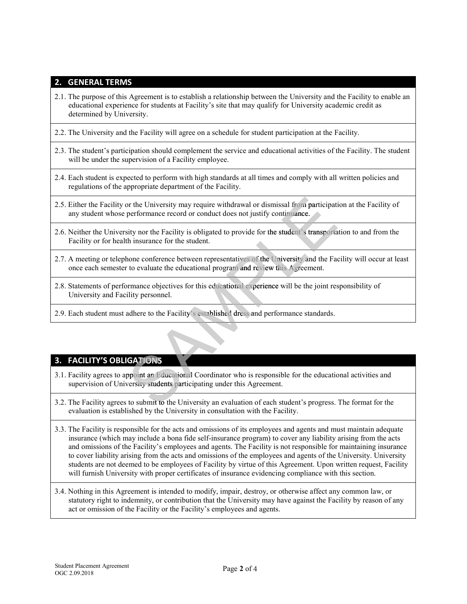#### 2. GENERAL TERMS

- 2.1. The purpose of this Agreement is to establish a relationship between the University and the Facility to enable an educational experience for students at Facility's site that may qualify for University academic credit as determined by University.
- 2.2. The University and the Facility will agree on a schedule for student participation at the Facility.
- 2.3. The student's participation should complement the service and educational activities of the Facility. The student will be under the supervision of a Facility employee.
- 2.4. Each student is expected to perform with high standards at all times and comply with all written policies and regulations of the appropriate department of the Facility.
- 2.5. Either the Facility or the University may require withdrawal or dismissal from participation at the Facility of any student whose performance record or conduct does not justify continuance.
- 2.6. Neither the University nor the Facility is obligated to provide for the student's transportation to and from the Facility or for health insurance for the student.
- 2.7. A meeting or telephone conference between representatives of the University and the Facility will occur at least once each semester to evaluate the educational program and review this Agreement.
- 2.8. Statements of performance objectives for this educational experience will be the joint responsibility of University and Facility personnel.
- 2.9. Each student must adhere to the Facility's established dress and performance standards.

## 3. FACILITY'S OBLIGATIONS

- 3.1. Facility agrees to appoint an Educational Coordinator who is responsible for the educational activities and supervision of University students participating under this Agreement.
- 3.2. The Facility agrees to submit to the University an evaluation of each student's progress. The format for the evaluation is established by the University in consultation with the Facility.
- 3.3. The Facility is responsible for the acts and omissions of its employees and agents and must maintain adequate insurance (which may include a bona fide self-insurance program) to cover any liability arising from the acts and omissions of the Facility's employees and agents. The Facility is not responsible for maintaining insurance to cover liability arising from the acts and omissions of the employees and agents of the University. University students are not deemed to be employees of Facility by virtue of this Agreement. Upon written request, Facility will furnish University with proper certificates of insurance evidencing compliance with this section.
- 3.4. Nothing in this Agreement is intended to modify, impair, destroy, or otherwise affect any common law, or statutory right to indemnity, or contribution that the University may have against the Facility by reason of any act or omission of the Facility or the Facility's employees and agents.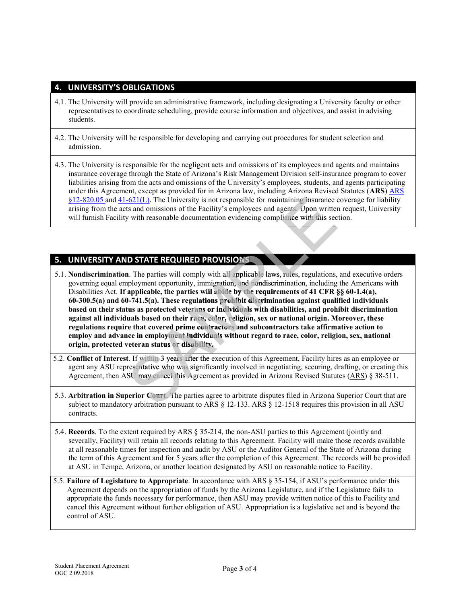## 4. UNIVERSITY'S OBLIGATIONS

- 4.1. The University will provide an administrative framework, including designating a University faculty or other representatives to coordinate scheduling, provide course information and objectives, and assist in advising students.
- 4.2. The University will be responsible for developing and carrying out procedures for student selection and admission.
- 4.3. The University is responsible for the negligent acts and omissions of its employees and agents and maintains insurance coverage through the State of Arizona's Risk Management Division self-insurance program to cover liabilities arising from the acts and omissions of the University's employees, students, and agents participating under this Agreement, except as provided for in Arizona law, including Arizona Revised Statutes (ARS) ARS  $§12-820.05$  and  $41-621(L)$ . The University is not responsible for maintaining insurance coverage for liability  $$12-820.05$  and  $41-621(L)$ . The University is not responsible for maintaining insurance coverage for liability arising from the acts and omissions of the Facility's employees and agents. Upon written request, University will furnish Facility with reasonable documentation evidencing compliance with this section.

## 5. UNIVERSITY AND STATE REQUIRED PROVISIONS

- 5.1. Nondiscrimination. The parties will comply with all applicable laws, rules, regulations, and executive orders Nondiscrimination. The parties will comply with all applicable laws, rules, regulations, and executive order governing equal employment opportunity, immigration, and nondiscrimination, including the Americans with Disabilities Act. If applicable, the parties will abide by the requirements of 41 CFR  $\S$ § 60-1.4(a),  $60-300.5(a)$  and  $60-741.5(a)$ . These regulations prohibit discrimination against qualified individuals based on their status as protected veterans or individuals with disabilities, and prohibit discrimination against all individuals based on their race, color, religion, sex or national origin. Moreover, these regulations require that covered prime contractors and subcontractors take affirmative action to employ and advance in employment individuals without regard to race, color, religion, sex, national origin, protected veteran status or disability.
- 5.2. Conflict of Interest. If within 3 years after the execution of this Agreement, Facility hires as an employee or agent any ASU representative who was significantly involved in negotiating, securing, drafting, or creating this Agreement, then ASU may cancel this Agreement as provided in Arizona Revised Statutes (ARS) § 38-511.
- 5.3. Arbitration in Superior Court. The parties agree to arbitrate disputes filed in Arizona Superior Court that are Arbitration in Superior Court. The parties agree to arbitrate disputes filed in Arizona Superior Court that are<br>subject to mandatory arbitration pursuant to ARS § 12-133. ARS § 12-1518 requires this provision in all ASU contracts.
- 5.4. Records. To the extent required by ARS § 35-214, the non-ASU parties to this Agreement (jointly and severally, Facility) will retain all records relating to this Agreement. Facility will make those records available at all reasonable times for inspection and audit by ASU or the Auditor General of the State of Arizona during the term of this Agreement and for 5 years after the completion of this Agreement. The records will be provided at ASU in Tempe, Arizona, or another location designated by ASU on reasonable notice to Facility.
- 5.5. Failure of Legislature to Appropriate. In accordance with ARS § 35-154, if ASU's performance under this Agreement depends on the appropriation of funds by the Arizona Legislature, and if the Legislature fails to appropriate the funds necessary for performance, then ASU may provide written notice of this to Facility and cancel this Agreement without further obligation of ASU. Appropriation is a legislative act and is beyond the control of ASU.